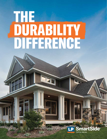# THE DURABILITY DIFFERENCE

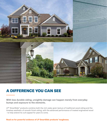

## A DIFFERENCE YOU CAN SEE

With less durable siding, unsightly damage can happen merely from everyday bumps and exposure to the elements.

LP<sup>®</sup> SmartSide<sup>®</sup> products combine both the rich cedar grain texture of traditional wood siding and the timeless aesthetic of smooth finish siding, with the advanced performance of treated engineered wood - to help extend its curb appeal for years to come.

**Read on for powerful evidence of LP SmartSide products' toughness.**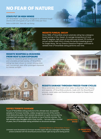## NO FEAR OF NATURE

## STAYS PUT IN HIGH WINDS

LP<sup>®</sup> SmartSide<sup>®</sup> Lap Siding is designed to withstand tough storms with wind gusts of up to 200 miles per hour. *Refer to ESR-1301, Table 2B, Lap Siding.*



## RESISTS FUNGAL DECAY

Since 1996, LP SmartSide strand substrate siding has undergone brutal testing in Hilo, Hawaii. An average temperature of more than 70 degrees, high levels of humidity and almost 170 inches of annual rainfall make Hilo's climate the perfect breeding ground for fungal decay. Yet our Exterior Exposure Program continues to validate that LP SmartSide siding performs over time.

## RESISTS WARPING & CRACKING FROM HEAT & SUN EXPOSURE

Thanks to industrial-grade binders and resins and a durable primed overlay, LP SmartSide siding has been shown to remain strong when well maintained, even after prolonged exposure to intense sunlight.

## RESISTS DAMAGE THROUGH FREEZE-THAW CYCLES

Many substrates delaminate when water is absorbed, then freezes and expands. LP SmartSide products, made with the SmartGuard® process, resist water and therefore are less subject to freeze-thaw cycle damage.

## DEFIES TERMITE DAMAGE

To put LP SmartSide siding products to the ultimate test, we exposed samples to Formosan termites, widely recognized as one of the world's most destructive pests. Each sample was placed on a grid, surrounded by untreated bait samples, then laid directly on top of termite colonies. The bait samples were damaged within three months — but even after a number of years, the LP SmartSide siding exhibited no structural damage.

**UNTREATED WOOD**

#### *Untreated Wood vs. LP SmartSide Product*

*Untreated wood devastated by Formosan termites (upper left) and undamaged LP SmartSide product protected with the SmartGuard process (lower right) during same testing period.* **LP SMARTSIDE PRODUCT**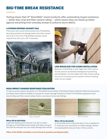## BIG-TIME BREAK RESISTANCE

Testing shows that LP® SmartSide® strand products offer outstanding impact resistance — better than vinyl and fiber cement siding — which means they can stand up better against everything from everyday bumps to airborne storm debris.

#### A STRONG DEFENSE AGAINST HAIL

Third-party test results demonstrate that LP SmartSide lap siding resisted hail damage better than fiber cement and vinyl. In fact, the LP SmartSide warranty covers impacts from hail up to 1.75" in diameter.





LESS BREAKAGE FOR EASIER INSTALLATION

Because LP SmartSide is less fragile than fiber cement, it's less prone to accidental breakage during handling and installation. It's also lighter than fiber cement siding and can be carried by just one person without breaking under its own weight.

## NASA IMPACT DAMAGE RESISTANCE EVALUATION

To help prove the superior durability of LP SmartSide strand siding, LP Building Products asked the National Aeronautics and Space Administration (NASA) to evaluate the impact damage resistance of both LP SmartSide engineered wood strand siding and fiber cement siding. Here's a summary of some key findings.





## When Hit by Golf Balls

A golf ball traveling at 63 miles per hour left no visible damage to LP SmartSide strand siding. Golf balls moving at less than 50 miles per hour can visibly damage fiber cement.



*LP SmartSide Fiber Cement LP SmartSide Fiber Cement*

## When Hit by Baseballs

LP SmartSide strand siding has been hit by a baseball at 77 miles per hour and shown no visible damage. Slowermoving baseballs have put holes in fiber cement.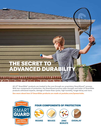# SECR ADVANCED DURABILITY

All LP<sup>®</sup> SmartSide<sup>®</sup> products are treated to the core through our proprietary SmartGuard<sup>®</sup> process. With four components of protection, the SmartGuard process adds strength and helps LP SmartSide products withstand impacts, damage of freeze-thaw cycles, high humidity, fungal decay and more.

See more about how LP SmartSide products are made at youtube.com/lpsmartside.



## FOUR COMPONENTS OF PROTECTION



**RESINS**







**WAXES ZINC OVERLAY BORATE**